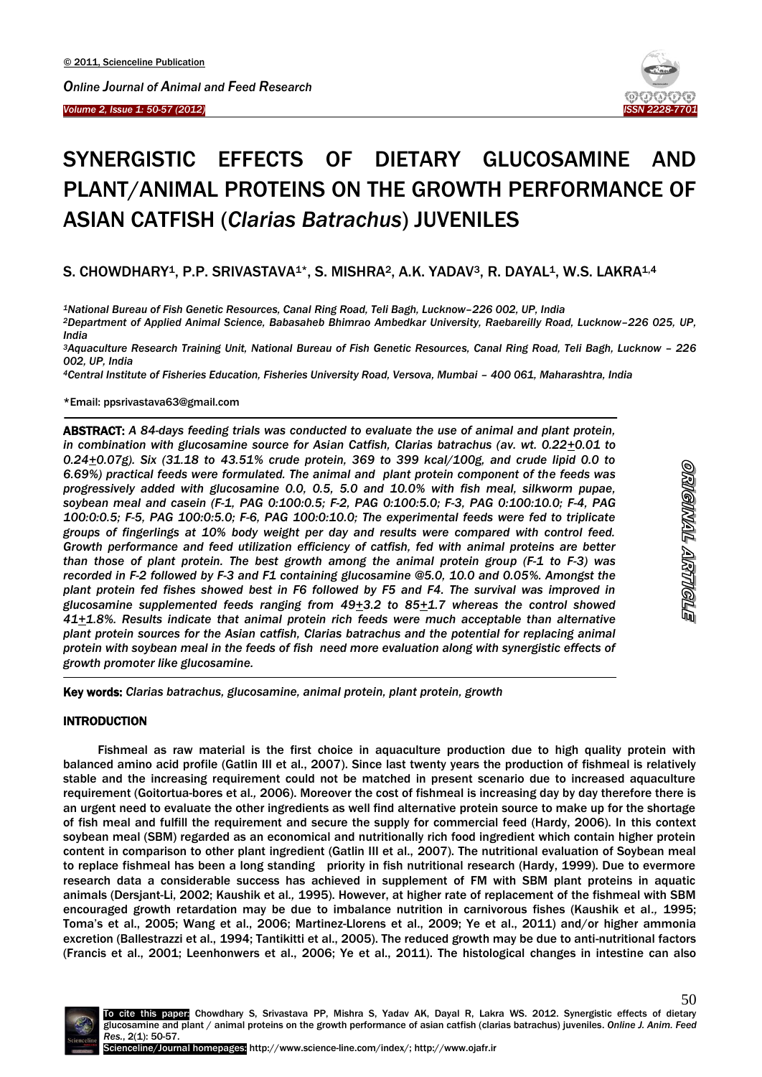

# SYNERGISTIC EFFECTS OF DIETARY GLUCOSAMINE AND PLANT/ANIMAL PROTEINS ON THE GROWTH PERFORMANCE OF ASIAN CATFISH (*Clarias Batrachus*) JUVENILES

# S. CHOWDHARY<sup>1</sup>, P.P. SRIVASTAVA<sup>1\*</sup>, S. MISHRA<sup>2</sup>, A.K. YADAV<sup>3</sup>, R. DAYAL<sup>1</sup>, W.S. LAKRA<sup>1,4</sup>

*<sup>1</sup>National Bureau of Fish Genetic Resources, Canal Ring Road, Teli Bagh, Lucknow–226 002, UP, India <sup>2</sup>Department of Applied Animal Science, Babasaheb Bhimrao Ambedkar University, Raebareilly Road, Lucknow–226 025, UP, India*

*<sup>3</sup>Aquaculture Research Training Unit, National Bureau of Fish Genetic Resources, Canal Ring Road, Teli Bagh, Lucknow – 226 002, UP, India*

*<sup>4</sup>Central Institute of Fisheries Education, Fisheries University Road, Versova, Mumbai – 400 061, Maharashtra, India*

\*Email: ppsrivastava63@gmail.com

1

ABSTRACT: *A 84-days feeding trials was conducted to evaluate the use of animal and plant protein, in combination with glucosamine source for Asian Catfish, Clarias batrachus (av. wt. 0.22+0.01 to 0.24+0.07g). Six (31.18 to 43.51% crude protein, 369 to 399 kcal/100g, and crude lipid 0.0 to 6.69%) practical feeds were formulated. The animal and plant protein component of the feeds was progressively added with glucosamine 0.0, 0.5, 5.0 and 10.0% with fish meal, silkworm pupae, soybean meal and casein (F-1, PAG 0:100:0.5; F-2, PAG 0:100:5.0; F-3, PAG 0:100:10.0; F-4, PAG 100:0:0.5; F-5, PAG 100:0:5.0; F-6, PAG 100:0:10.0; The experimental feeds were fed to triplicate groups of fingerlings at 10% body weight per day and results were compared with control feed. Growth performance and feed utilization efficiency of catfish, fed with animal proteins are better than those of plant protein. The best growth among the animal protein group (F-1 to F-3) was recorded in F-2 followed by F-3 and F1 containing glucosamine @5.0, 10.0 and 0.05%. Amongst the plant protein fed fishes showed best in F6 followed by F5 and F4. The survival was improved in glucosamine supplemented feeds ranging from 49+3.2 to 85+1.7 whereas the control showed 41+1.8%. Results indicate that animal protein rich feeds were much acceptable than alternative plant protein sources for the Asian catfish, Clarias batrachus and the potential for replacing animal protein with soybean meal in the feeds of fish need more evaluation along with synergistic effects of growth promoter like glucosamine.* 

Key words: *Clarias batrachus, glucosamine, animal protein, plant protein, growth*

#### INTRODUCTION

Fishmeal as raw material is the first choice in aquaculture production due to high quality protein with balanced amino acid profile (Gatlin III et al., 2007). Since last twenty years the production of fishmeal is relatively stable and the increasing requirement could not be matched in present scenario due to increased aquaculture requirement (Goitortua-bores et al*.,* 2006). Moreover the cost of fishmeal is increasing day by day therefore there is an urgent need to evaluate the other ingredients as well find alternative protein source to make up for the shortage of fish meal and fulfill the requirement and secure the supply for commercial feed (Hardy, 2006). In this context soybean meal (SBM) regarded as an economical and nutritionally rich food ingredient which contain higher protein content in comparison to other plant ingredient (Gatlin III et al., 2007). The nutritional evaluation of Soybean meal to replace fishmeal has been a long standing priority in fish nutritional research (Hardy, 1999). Due to evermore research data a considerable success has achieved in supplement of FM with SBM plant proteins in aquatic animals (Dersjant-Li, 2002; Kaushik et al*.,* 1995). However, at higher rate of replacement of the fishmeal with SBM encouraged growth retardation may be due to imbalance nutrition in carnivorous fishes (Kaushik et al*.,* 1995; Toma's et al., 2005; Wang et al., 2006; Martinez-Llorens et al., 2009; Ye et al., 2011) and/or higher ammonia excretion (Ballestrazzi et al., 1994; Tantikitti et al., 2005). The reduced growth may be due to anti-nutritional factors (Francis et al., 2001; Leenhonwers et al., 2006; Ye et al., 2011). The histological changes in intestine can also



<u>STOMANY TIMOTEO</u>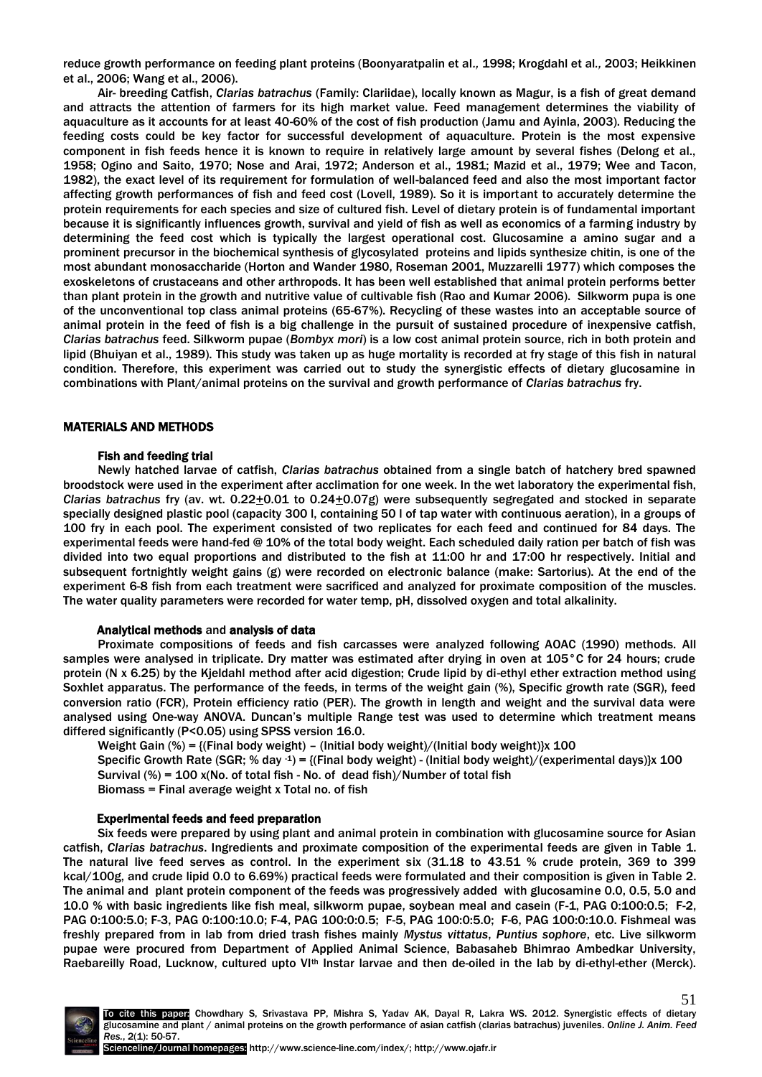reduce growth performance on feeding plant proteins (Boonyaratpalin et al*.,* 1998; Krogdahl et al*.,* 2003; Heikkinen et al., 2006; Wang et al., 2006).

Air- breeding Catfish, *Clarias batrachus* (Family: Clariidae), locally known as Magur, is a fish of great demand and attracts the attention of farmers for its high market value. Feed management determines the viability of aquaculture as it accounts for at least 40-60% of the cost of fish production (Jamu and Ayinla, 2003). Reducing the feeding costs could be key factor for successful development of aquaculture. Protein is the most expensive component in fish feeds hence it is known to require in relatively large amount by several fishes (Delong et al., 1958; Ogino and Saito, 1970; Nose and Arai, 1972; Anderson et al., 1981; Mazid et al., 1979; Wee and Tacon, 1982), the exact level of its requirement for formulation of well-balanced feed and also the most important factor affecting growth performances of fish and feed cost (Lovell, 1989). So it is important to accurately determine the protein requirements for each species and size of cultured fish. Level of dietary protein is of fundamental important because it is significantly influences growth, survival and yield of fish as well as economics of a farming industry by determining the feed cost which is typically the largest operational cost. Glucosamine a amino sugar and a prominent precursor in the biochemical synthesis of glycosylated proteins and lipids synthesize chitin, is one of the most abundant monosaccharide (Horton and Wander 1980, Roseman 2001, Muzzarelli 1977) which composes the exoskeletons of crustaceans and other arthropods. It has been well established that animal protein performs better than plant protein in the growth and nutritive value of cultivable fish (Rao and Kumar 2006). Silkworm pupa is one of the unconventional top class animal proteins (65-67%). Recycling of these wastes into an acceptable source of animal protein in the feed of fish is a big challenge in the pursuit of sustained procedure of inexpensive catfish, *Clarias batrachus* feed. Silkworm pupae (*Bombyx mori*) is a low cost animal protein source, rich in both protein and lipid (Bhuiyan et al., 1989). This study was taken up as huge mortality is recorded at fry stage of this fish in natural condition. Therefore, this experiment was carried out to study the synergistic effects of dietary glucosamine in combinations with Plant/animal proteins on the survival and growth performance of *Clarias batrachus* fry.

# MATERIALS AND METHODS

# Fish and feeding trial

Newly hatched larvae of catfish, *Clarias batrachus* obtained from a single batch of hatchery bred spawned broodstock were used in the experiment after acclimation for one week. In the wet laboratory the experimental fish, *Clarias batrachus* fry (av. wt. 0.22+0.01 to 0.24+0.07g) were subsequently segregated and stocked in separate specially designed plastic pool (capacity 300 l, containing 50 l of tap water with continuous aeration), in a groups of 100 fry in each pool. The experiment consisted of two replicates for each feed and continued for 84 days. The experimental feeds were hand-fed @ 10% of the total body weight. Each scheduled daily ration per batch of fish was divided into two equal proportions and distributed to the fish at 11:00 hr and 17:00 hr respectively. Initial and subsequent fortnightly weight gains (g) were recorded on electronic balance (make: Sartorius). At the end of the experiment 6-8 fish from each treatment were sacrificed and analyzed for proximate composition of the muscles. The water quality parameters were recorded for water temp, pH, dissolved oxygen and total alkalinity.

#### Analytical methods and analysis of data

Proximate compositions of feeds and fish carcasses were analyzed following AOAC (1990) methods. All samples were analysed in triplicate. Dry matter was estimated after drying in oven at 105°C for 24 hours; crude protein (N x 6.25) by the Kjeldahl method after acid digestion; Crude lipid by di-ethyl ether extraction method using Soxhlet apparatus. The performance of the feeds, in terms of the weight gain (%), Specific growth rate (SGR), feed conversion ratio (FCR), Protein efficiency ratio (PER). The growth in length and weight and the survival data were analysed using One-way ANOVA. Duncan's multiple Range test was used to determine which treatment means differed significantly (P<0.05) using SPSS version 16.0.

Weight Gain (%) = {(Final body weight) – (Initial body weight)/(Initial body weight)}x 100

Specific Growth Rate (SGR; % day  $-1$ ) = {(Final body weight) - (Initial body weight)/(experimental days)}x 100 Survival (%) =  $100$  x(No. of total fish - No. of dead fish)/Number of total fish

Biomass = Final average weight x Total no. of fish

# Experimental feeds and feed preparation

Six feeds were prepared by using plant and animal protein in combination with glucosamine source for Asian catfish, *Clarias batrachus*. Ingredients and proximate composition of the experimental feeds are given in Table 1. The natural live feed serves as control. In the experiment six (31.18 to 43.51 % crude protein, 369 to 399 kcal/100g, and crude lipid 0.0 to 6.69%) practical feeds were formulated and their composition is given in Table 2. The animal and plant protein component of the feeds was progressively added with glucosamine 0.0, 0.5, 5.0 and 10.0 % with basic ingredients like fish meal, silkworm pupae, soybean meal and casein (F-1, PAG 0:100:0.5; F-2, PAG 0:100:5.0; F-3, PAG 0:100:10.0; F-4, PAG 100:0:0.5; F-5, PAG 100:0:5.0; F-6, PAG 100:0:10.0. Fishmeal was freshly prepared from in lab from dried trash fishes mainly *Mystus vittatus*, *Puntius sophore*, etc. Live silkworm pupae were procured from Department of Applied Animal Science, Babasaheb Bhimrao Ambedkar University, Raebareilly Road, Lucknow, cultured upto VI<sup>th</sup> Instar larvae and then de-oiled in the lab by di-ethyl-ether (Merck).

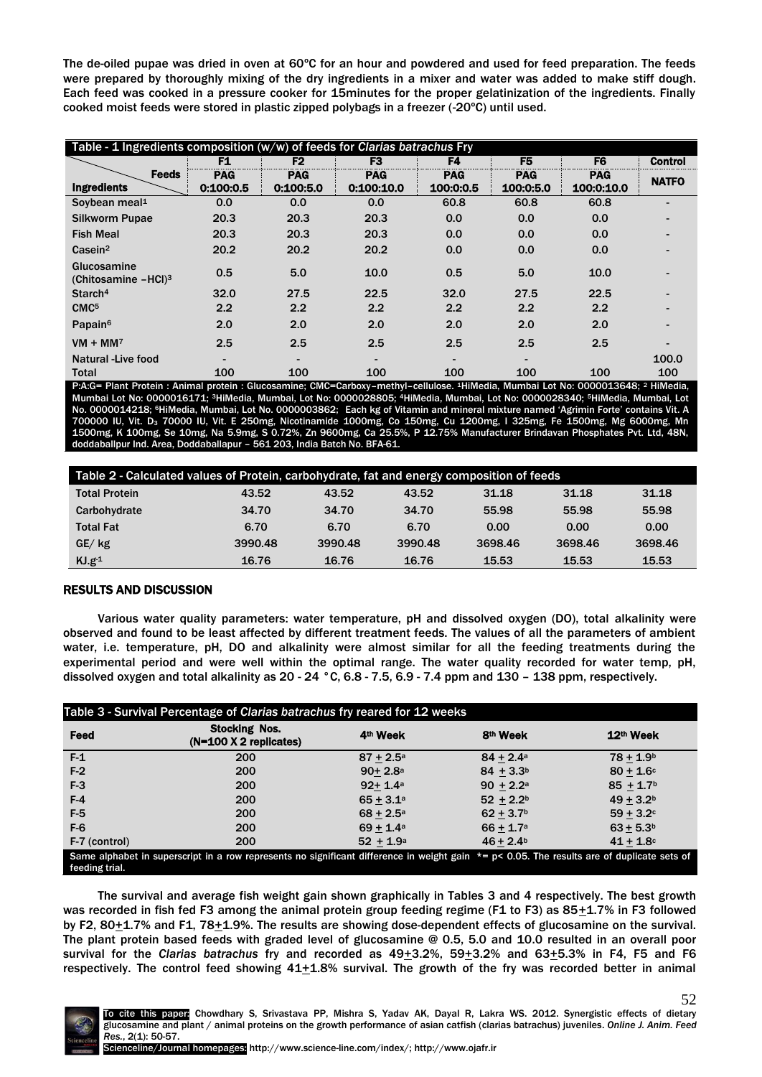The de-oiled pupae was dried in oven at 60ºC for an hour and powdered and used for feed preparation. The feeds were prepared by thoroughly mixing of the dry ingredients in a mixer and water was added to make stiff dough. Each feed was cooked in a pressure cooker for 15minutes for the proper gelatinization of the ingredients. Finally cooked moist feeds were stored in plastic zipped polybags in a freezer (-20ºC) until used.

| Table - 1 Ingredients composition (w/w) of feeds for Clarias batrachus Fry |            |                          |                |                          |                |                |                          |  |  |
|----------------------------------------------------------------------------|------------|--------------------------|----------------|--------------------------|----------------|----------------|--------------------------|--|--|
|                                                                            | F1         | F <sub>2</sub>           | F <sub>3</sub> | F4                       | F <sub>5</sub> | F <sub>6</sub> | <b>Control</b>           |  |  |
| <b>Feeds</b>                                                               | <b>PAG</b> | <b>PAG</b>               | <b>PAG</b>     | <b>PAG</b>               | <b>PAG</b>     | <b>PAG</b>     | <b>NATFO</b>             |  |  |
| <b>Ingredients</b>                                                         | 0.100.0.5  | 0:100:5.0                | 0:100:10.0     | 100:0:0.5                | 100:0:5.0      | 100:0:10.0     |                          |  |  |
| Soybean meal <sup>1</sup>                                                  | 0.0        | 0.0                      | 0.0            | 60.8                     | 60.8           | 60.8           | -                        |  |  |
| <b>Silkworm Pupae</b>                                                      | 20.3       | 20.3                     | 20.3           | 0.0                      | 0.0            | 0.0            |                          |  |  |
| <b>Fish Meal</b>                                                           | 20.3       | 20.3                     | 20.3           | 0.0                      | 0.0            | 0.0            |                          |  |  |
| Casein <sup>2</sup>                                                        | 20.2       | 20.2                     | 20.2           | 0.0                      | 0.0            | 0.0            | $\overline{a}$           |  |  |
| Glucosamine<br>(Chitosamine -HCl) <sup>3</sup>                             | 0.5        | 5.0                      | 10.0           | 0.5                      | 5.0            | 10.0           |                          |  |  |
| Starch <sup>4</sup>                                                        | 32.0       | 27.5                     | 22.5           | 32.0                     | 27.5           | 22.5           | $\overline{\phantom{0}}$ |  |  |
| CMC <sup>5</sup>                                                           | 2.2        | 2.2                      | 2.2            | 2.2                      | 2.2            | 2.2            | $\overline{\phantom{0}}$ |  |  |
| Papain <sup>6</sup>                                                        | 2.0        | 2.0                      | 2.0            | 2.0                      | 2.0            | 2.0            | $\blacksquare$           |  |  |
| $VM + MM$                                                                  | 2.5        | 2.5                      | 2.5            | 2.5                      | 2.5            | 2.5            |                          |  |  |
| Natural -Live food                                                         |            | $\overline{\phantom{0}}$ | $\blacksquare$ | $\overline{\phantom{0}}$ | -              |                | 100.0                    |  |  |
| Total                                                                      | 100        | 100                      | 100            | 100                      | 100            | 100            | 100                      |  |  |

P:A:G= Plant Protein : Animal protein : Glucosamine; CMC=Carboxy–methyl–cellulose. 1HiMedia, Mumbai Lot No: 0000013648; <sup>2</sup> HiMedia, Mumbai Lot No: 0000016171; 3HiMedia, Mumbai, Lot No: 0000028805; 4HiMedia, Mumbai, Lot No: 0000028340; 5HiMedia, Mumbai, Lot No. 0000014218; <sup>6</sup>HiMedia, Mumbai, Lot No. 0000003862; Each kg of Vitamin and mineral mixture named 'Agrimin Forte' contains Vit. A 700000 IU, Vit. D<sup>3</sup> 70000 IU, Vit. E 250mg, Nicotinamide 1000mg, Co 150mg, Cu 1200mg, I 325mg, Fe 1500mg, Mg 6000mg, Mn 1500mg, K 100mg, Se 10mg, Na 5.9mg, S 0.72%, Zn 9600mg, Ca 25.5%, P 12.75% Manufacturer Brindavan Phosphates Pvt. Ltd, 48N, doddaballpur Ind. Area, Doddaballapur – 561 203, India Batch No. BFA-61.

| Table 2 - Calculated values of Protein, carbohydrate, fat and energy composition of feeds |         |         |         |         |         |         |  |  |
|-------------------------------------------------------------------------------------------|---------|---------|---------|---------|---------|---------|--|--|
| <b>Total Protein</b>                                                                      | 43.52   | 43.52   | 43.52   | 31.18   | 31.18   | 31.18   |  |  |
| Carbohydrate                                                                              | 34.70   | 34.70   | 34.70   | 55.98   | 55.98   | 55.98   |  |  |
| <b>Total Fat</b>                                                                          | 6.70    | 6.70    | 6.70    | 0.00    | 0.00    | 0.00    |  |  |
| $GE/$ kg                                                                                  | 3990.48 | 3990.48 | 3990.48 | 3698.46 | 3698.46 | 3698.46 |  |  |
| $KJ.g-1$                                                                                  | 16.76   | 16.76   | 16.76   | 15.53   | 15.53   | 15.53   |  |  |

# RESULTS AND DISCUSSION

Various water quality parameters: water temperature, pH and dissolved oxygen (DO), total alkalinity were observed and found to be least affected by different treatment feeds. The values of all the parameters of ambient water, i.e. temperature, pH, DO and alkalinity were almost similar for all the feeding treatments during the experimental period and were well within the optimal range. The water quality recorded for water temp, pH, dissolved oxygen and total alkalinity as 20 - 24 °C, 6.8 - 7.5, 6.9 - 7.4 ppm and 130 – 138 ppm, respectively.

| Table 3 - Survival Percentage of Clarias batrachus fry reared for 12 weeks                                                                                        |                                                  |                      |                      |                       |  |  |  |  |
|-------------------------------------------------------------------------------------------------------------------------------------------------------------------|--------------------------------------------------|----------------------|----------------------|-----------------------|--|--|--|--|
| Feed                                                                                                                                                              | <b>Stocking Nos.</b><br>$(N=100 X 2$ replicates) | 4 <sup>th</sup> Week | 8 <sup>th</sup> Week | 12 <sup>th</sup> Week |  |  |  |  |
| F <sub>1</sub>                                                                                                                                                    | 200                                              | $87 + 2.5^{\circ}$   | $84 + 2.4a$          | $78 + 1.9b$           |  |  |  |  |
| $F-2$                                                                                                                                                             | 200                                              | $90 + 2.8a$          | $84 + 3.3b$          | $80 + 1.6c$           |  |  |  |  |
| F <sub>3</sub>                                                                                                                                                    | 200                                              | $92 + 1.4a$          | $90 + 2.2a$          | $85 + 1.7$            |  |  |  |  |
| $F-4$                                                                                                                                                             | 200                                              | $65 + 3.1a$          | $52 + 2.2^b$         | $49 + 3.2b$           |  |  |  |  |
| F-5                                                                                                                                                               | 200                                              | $68 + 2.5^{\circ}$   | $62 + 3.7$           | $59 + 3.2c$           |  |  |  |  |
| $F-6$                                                                                                                                                             | 200                                              | $69 + 1.4a$          | $66 + 1.7a$          | $63 + 5.3b$           |  |  |  |  |
| F-7 (control)                                                                                                                                                     | 200                                              | $52 + 1.9^a$         | $46 + 2.4b$          | $41 + 1.8$            |  |  |  |  |
| Same alphabet in superscript in a row represents no significant difference in weight gain $* = p < 0.05$ . The results are of duplicate sets of<br>feeding trial. |                                                  |                      |                      |                       |  |  |  |  |

The survival and average fish weight gain shown graphically in Tables 3 and 4 respectively. The best growth was recorded in fish fed F3 among the animal protein group feeding regime (F1 to F3) as 85 $\pm$ 1.7% in F3 followed by F2, 80 $\pm$ 1.7% and F1, 78 $\pm$ 1.9%. The results are showing dose-dependent effects of glucosamine on the survival. The plant protein based feeds with graded level of glucosamine @ 0.5, 5.0 and 10.0 resulted in an overall poor survival for the *Clarias batrachus* fry and recorded as 49<sup>+</sup>3.2%, 59<sup>+</sup>3.2% and 63<sup>+</sup>5.3% in F4, F5 and F6 respectively. The control feed showing  $41+1.8\%$  survival. The growth of the fry was recorded better in animal

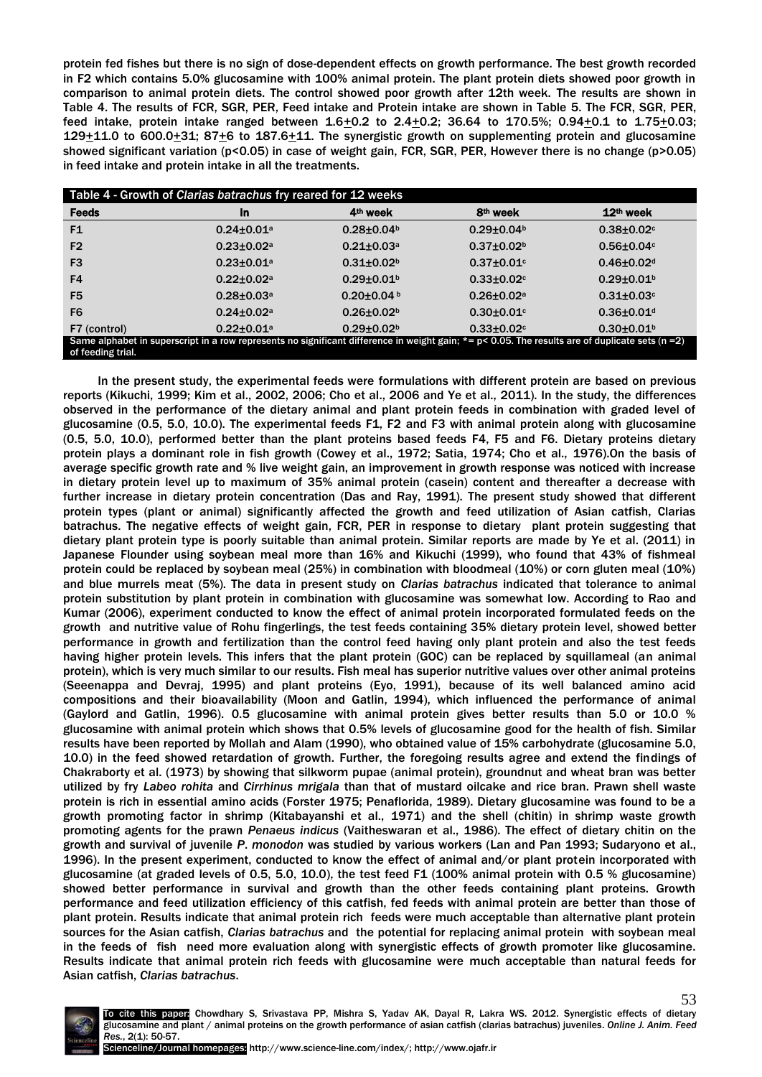protein fed fishes but there is no sign of dose-dependent effects on growth performance. The best growth recorded in F2 which contains 5.0% glucosamine with 100% animal protein. The plant protein diets showed poor growth in comparison to animal protein diets. The control showed poor growth after 12th week. The results are shown in Table 4. The results of FCR, SGR, PER, Feed intake and Protein intake are shown in Table 5. The FCR, SGR, PER, feed intake, protein intake ranged between  $1.6 \pm 0.2$  to  $2.4 \pm 0.2$ ; 36.64 to  $170.5\%$ ; 0.94 $\pm 0.1$  to  $1.75 \pm 0.03$ ; 129+11.0 to 600.0+31; 87+6 to 187.6+11. The synergistic growth on supplementing protein and glucosamine showed significant variation (p<0.05) in case of weight gain, FCR, SGR, PER, However there is no change (p>0.05) in feed intake and protein intake in all the treatments.

| Table 4 - Growth of Clarias batrachus fry reared for 12 weeks                                                                                                          |                              |                              |                              |                            |  |  |  |  |
|------------------------------------------------------------------------------------------------------------------------------------------------------------------------|------------------------------|------------------------------|------------------------------|----------------------------|--|--|--|--|
| <b>Feeds</b>                                                                                                                                                           | <b>In</b>                    | 4 <sup>th</sup> week         | 8 <sup>th</sup> week         | 12 <sup>th</sup> week      |  |  |  |  |
| F <sub>1</sub>                                                                                                                                                         | $0.24 \pm 0.01$ <sup>a</sup> | $0.28 \pm 0.04$ <sup>b</sup> | $0.29 \pm 0.04$ <sup>b</sup> | $0.38 + 0.02$              |  |  |  |  |
| F <sub>2</sub>                                                                                                                                                         | $0.23 \pm 0.02$ <sup>a</sup> | $0.21 + 0.03$ <sup>a</sup>   | $0.37 \pm 0.02$              | $0.56 \pm 0.04$            |  |  |  |  |
| F <sub>3</sub>                                                                                                                                                         | $0.23 \pm 0.01$ <sup>a</sup> | $0.31 + 0.02b$               | $0.37 \pm 0.01$ c            | $0.46 \pm 0.02$ d          |  |  |  |  |
| F4                                                                                                                                                                     | $0.22 \pm 0.02$ <sup>a</sup> | $0.29 \pm 0.01$              | $0.33 \pm 0.02$              | $0.29 \pm 0.01$            |  |  |  |  |
| F <sub>5</sub>                                                                                                                                                         | $0.28 + 0.03a$               | $0.20 \pm 0.04$ b            | $0.26 \pm 0.02$ a            | $0.31 + 0.03c$             |  |  |  |  |
| F <sub>6</sub>                                                                                                                                                         | $0.24 \pm 0.02$ <sup>a</sup> | $0.26 \pm 0.02$ <sup>b</sup> | $0.30 + 0.01$                | $0.36 + 0.01$ <sup>d</sup> |  |  |  |  |
| F7 (control)                                                                                                                                                           | $0.22 \pm 0.01$ <sup>a</sup> | $0.29 \pm 0.02$ <sup>b</sup> | $0.33 \pm 0.02$              | $0.30 + 0.01$              |  |  |  |  |
| Same alphabet in superscript in a row represents no significant difference in weight gain; $*=p< 0.05$ . The results are of duplicate sets (n =2)<br>of feeding trial. |                              |                              |                              |                            |  |  |  |  |

In the present study, the experimental feeds were formulations with different protein are based on previous reports (Kikuchi, 1999; Kim et al., 2002, 2006; Cho et al., 2006 and Ye et al., 2011). In the study, the differences observed in the performance of the dietary animal and plant protein feeds in combination with graded level of glucosamine (0.5, 5.0, 10.0). The experimental feeds F1, F2 and F3 with animal protein along with glucosamine (0.5, 5.0, 10.0), performed better than the plant proteins based feeds F4, F5 and F6. Dietary proteins dietary protein plays a dominant role in fish growth (Cowey et al., 1972; Satia, 1974; Cho et al., 1976).On the basis of average specific growth rate and % live weight gain, an improvement in growth response was noticed with increase in dietary protein level up to maximum of 35% animal protein (casein) content and thereafter a decrease with further increase in dietary protein concentration (Das and Ray, 1991). The present study showed that different protein types (plant or animal) significantly affected the growth and feed utilization of Asian catfish, Clarias batrachus. The negative effects of weight gain, FCR, PER in response to dietary plant protein suggesting that dietary plant protein type is poorly suitable than animal protein. Similar reports are made by Ye et al. (2011) in Japanese Flounder using soybean meal more than 16% and Kikuchi (1999), who found that 43% of fishmeal protein could be replaced by soybean meal (25%) in combination with bloodmeal (10%) or corn gluten meal (10%) and blue murrels meat (5%). The data in present study on *Clarias batrachus* indicated that tolerance to animal protein substitution by plant protein in combination with glucosamine was somewhat low. According to Rao and Kumar (2006), experiment conducted to know the effect of animal protein incorporated formulated feeds on the growth and nutritive value of Rohu fingerlings, the test feeds containing 35% dietary protein level, showed better performance in growth and fertilization than the control feed having only plant protein and also the test feeds having higher protein levels. This infers that the plant protein (GOC) can be replaced by squillameal (an animal protein), which is very much similar to our results. Fish meal has superior nutritive values over other animal proteins (Seeenappa and Devraj, 1995) and plant proteins (Eyo, 1991), because of its well balanced amino acid compositions and their bioavailability (Moon and Gatlin, 1994), which influenced the performance of animal (Gaylord and Gatlin, 1996). 0.5 glucosamine with animal protein gives better results than 5.0 or 10.0 % glucosamine with animal protein which shows that 0.5% levels of glucosamine good for the health of fish. Similar results have been reported by Mollah and Alam (1990), who obtained value of 15% carbohydrate (glucosamine 5.0, 10.0) in the feed showed retardation of growth. Further, the foregoing results agree and extend the findings of Chakraborty et al. (1973) by showing that silkworm pupae (animal protein), groundnut and wheat bran was better utilized by fry *Labeo rohita* and *Cirrhinus mrigala* than that of mustard oilcake and rice bran. Prawn shell waste protein is rich in essential amino acids (Forster 1975; Penaflorida, 1989). Dietary glucosamine was found to be a growth promoting factor in shrimp (Kitabayanshi et al., 1971) and the shell (chitin) in shrimp waste growth promoting agents for the prawn *Penaeus indicus* (Vaitheswaran et al., 1986). The effect of dietary chitin on the growth and survival of juvenile *P*. *monodon* was studied by various workers (Lan and Pan 1993; Sudaryono et al., 1996). In the present experiment, conducted to know the effect of animal and/or plant protein incorporated with glucosamine (at graded levels of 0.5, 5.0, 10.0), the test feed F1 (100% animal protein with 0.5 % glucosamine) showed better performance in survival and growth than the other feeds containing plant proteins. Growth performance and feed utilization efficiency of this catfish, fed feeds with animal protein are better than those of plant protein. Results indicate that animal protein rich feeds were much acceptable than alternative plant protein sources for the Asian catfish, *Clarias batrachus* and the potential for replacing animal protein with soybean meal in the feeds of fish need more evaluation along with synergistic effects of growth promoter like glucosamine. Results indicate that animal protein rich feeds with glucosamine were much acceptable than natural feeds for Asian catfish, *Clarias batrachus*.



53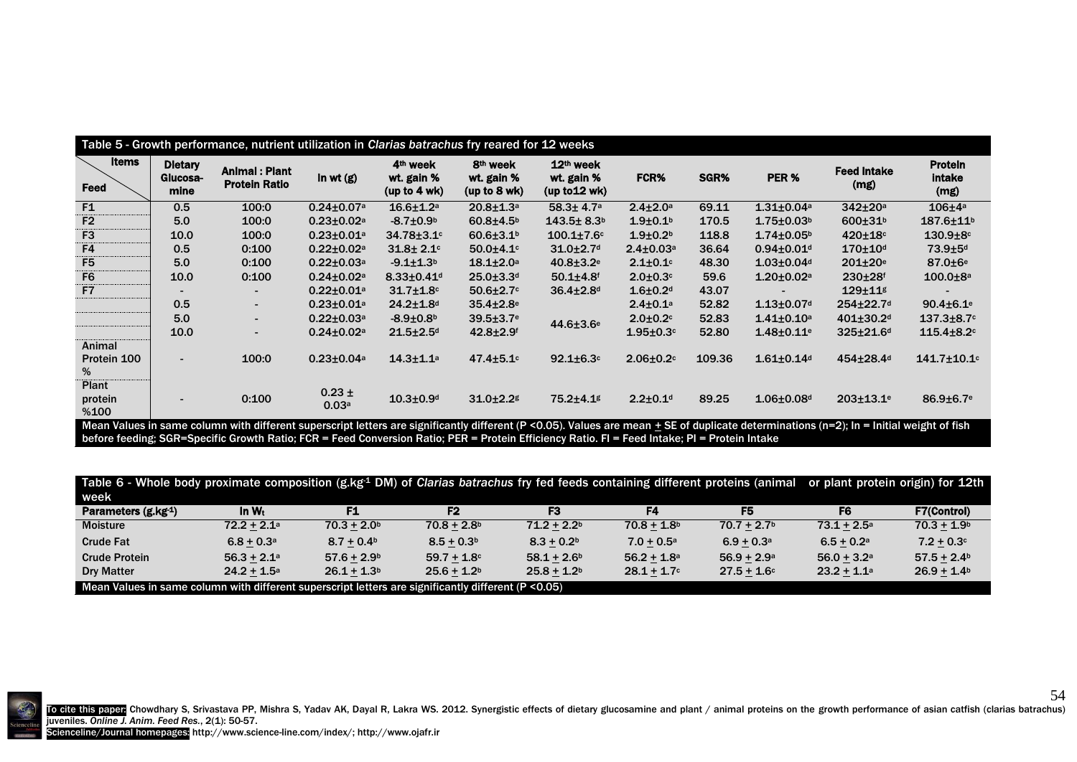| Table 5 - Growth performance, nutrient utilization in Clarias batrachus fry reared for 12 weeks |                                    |                                              |                              |                                                      |                                                    |                                          |                  |        |                              |                             |                                         |
|-------------------------------------------------------------------------------------------------|------------------------------------|----------------------------------------------|------------------------------|------------------------------------------------------|----------------------------------------------------|------------------------------------------|------------------|--------|------------------------------|-----------------------------|-----------------------------------------|
| Items<br>Feed                                                                                   | <b>Dietary</b><br>Glucosa-<br>mine | <b>Animal: Plant</b><br><b>Protein Ratio</b> | In wt $(g)$                  | 4 <sup>th</sup> week<br>wt. gain %<br>(up to $4$ wk) | 8 <sup>th</sup> week<br>wt. gain %<br>(up to 8 wk) | 12th week<br>wt. gain %<br>(up to 12 wk) | FCR%             | SGR%   | PER %                        | <b>Feed intake</b><br>(mg)  | <b>Protein</b><br><b>intake</b><br>(mg) |
| F1                                                                                              | 0.5                                | 100:0                                        | $0.24 \pm 0.07$ a            | $16.6 + 1.2a$                                        | $20.8 + 1.3a$                                      | $58.3 \pm 4.7$ <sup>a</sup>              | $2.4 \pm 2.0$ a  | 69.11  | $1.31 \pm 0.04$ a            | $342 \pm 20a$               | $106 \pm 4a$                            |
| F <sub>2</sub>                                                                                  | 5.0                                | 100:0                                        | $0.23 \pm 0.02$ <sup>a</sup> | $-8.7 \pm 0.9^{\rm b}$                               | $60.8 + 4.5b$                                      | $143.5 \pm 8.3$ <sup>b</sup>             | $1.9 + 0.1b$     | 170.5  | $1.75 \pm 0.03$ <sup>b</sup> | $600 + 31b$                 | $187.6 \pm 11^{b}$                      |
| F <sub>3</sub>                                                                                  | 10.0                               | 100:0                                        | $0.23 \pm 0.01$ <sup>a</sup> | $34.78 \pm 3.1$ <sup>c</sup>                         | $60.6{\pm}3.1^{\circ}$                             | $100.1 \pm 7.6$ c                        | $1.9 + 0.2b$     | 118.8  | $1.74 \pm 0.05^{\circ}$      | $420 \pm 18$                | $130.9 + 8c$                            |
| F4                                                                                              | 0.5                                | 0:100                                        | $0.22 \pm 0.02$ a            | $31.8 + 2.1$                                         | $50.0 + 4.1$                                       | $31.0 + 2.7$ <sup>d</sup>                | $2.4 \pm 0.03$ a | 36.64  | $0.94 \pm 0.01$ <sup>d</sup> | $170 \pm 10$ d              | 73.9±5 <sup>d</sup>                     |
| F <sub>5</sub>                                                                                  | 5.0                                | 0:100                                        | $0.22 \pm 0.03$ a            | $-9.1 \pm 1.3$                                       | $18.1 \pm 2.0^{\circ}$                             | $40.8 \pm 3.2$ <sup>e</sup>              | $2.1 \pm 0.1$ c  | 48.30  | $1.03 \pm 0.04$ <sup>d</sup> | $201 \pm 20$ <sup>e</sup>   | $87.0 \pm 6$ <sup>e</sup>               |
| F <sub>6</sub>                                                                                  | 10.0                               | 0:100                                        | $0.24 \pm 0.02$ <sup>a</sup> | $8.33 \pm 0.41$ <sup>d</sup>                         | $25.0 + 3.3d$                                      | $50.1 + 4.8$ <sup>f</sup>                | $2.0 + 0.3c$     | 59.6   | $1.20 \pm 0.02$ a            | $230 + 28$ <sup>f</sup>     | $100.0 + 8a$                            |
| F <sub>7</sub>                                                                                  |                                    |                                              | $0.22 \pm 0.01$ a            | $31.7 + 1.8$ c                                       | $50.6 \pm 2.7$                                     | $36.4 \pm 2.8$ d                         | $1.6 + 0.2d$     | 43.07  |                              | 129±11g                     |                                         |
|                                                                                                 | 0.5                                |                                              | $0.23 \pm 0.01$ a            | $24.2 \pm 1.8$ d                                     | $35.4 \pm 2.8$ <sup>e</sup>                        |                                          | $2.4 \pm 0.1$ a  | 52.82  | $1.13 \pm 0.07$ <sup>d</sup> | 254±22.7 <sup>d</sup>       | $90.4 \pm 6.1$ <sup>e</sup>             |
|                                                                                                 | 5.0                                | $\blacksquare$                               | $0.22 \pm 0.03$ a            | $-8.9 + 0.8b$                                        | $39.5 \pm 3.7$ <sup>e</sup>                        | 44.6±3.6 <sup>e</sup>                    | $2.0 \pm 0.2$    | 52.83  | $1.41 \pm 0.10$ <sup>a</sup> | $401 \pm 30.2$ <sup>d</sup> | $137.3 \pm 8.7$ <sup>c</sup>            |
|                                                                                                 | 10.0                               | $\blacksquare$                               | $0.24 \pm 0.02$ <sup>a</sup> | $21.5 + 2.5$ d                                       | $42.8 + 2.9$ <sup>f</sup>                          |                                          | $1.95 \pm 0.3$ c | 52.80  | $1.48 \pm 0.11$ <sup>e</sup> | 325±21.6 <sup>d</sup>       | $115.4 \pm 8.2$                         |
| Animal<br>Protein 100<br>%                                                                      | $\overline{\phantom{a}}$           | 100:0                                        | $0.23 \pm 0.04$ a            | $14.3 \pm 1.1$ <sup>a</sup>                          | $47.4 \pm 5.1$ <sup>c</sup>                        | $92.1 \pm 6.3$ c                         | $2.06 \pm 0.2$   | 109.36 | $1.61 \pm 0.14$ <sup>d</sup> | 454±28.4 <sup>d</sup>       | $141.7 \pm 10.1$ c                      |
| <b>Plant</b><br>protein<br>%100                                                                 | $\overline{\phantom{a}}$           | 0:100                                        | $0.23 \pm$<br>0.03a          | $10.3 \pm 0.9$ d                                     | $31.0 \pm 2.2$                                     | 75.2±4.1g                                | $2.2 \pm 0.1$ d  | 89.25  | $1.06 \pm 0.08$ <sup>d</sup> | $203 \pm 13.1$ <sup>e</sup> | $86.9{\pm}6.7$ <sup>e</sup>             |

Mean Values in same column with different superscript letters are significantly different (P <0.05). Values are mean  $\pm$  SE of duplicate determinations (n=2); In = Initial weight of fish before feeding; SGR=Specific Growth Ratio; FCR = Feed Conversion Ratio; PER = Protein Efficiency Ratio. FI = Feed Intake; PI = Protein Intake

Table 6 - Whole body proximate composition (g.kg-1 DM) of *Clarias batrachus* fry fed feeds containing different proteins (animal or plant protein origin) for 12th week

| wccn                                                                                                   |                      |               |                           |                |                           |                           |                           |                    |  |  |
|--------------------------------------------------------------------------------------------------------|----------------------|---------------|---------------------------|----------------|---------------------------|---------------------------|---------------------------|--------------------|--|--|
| Parameters (g.kg-1)                                                                                    | In W <sub>t</sub>    |               | F <sub>2</sub>            |                |                           | F5                        | F6                        | <b>F7(Control)</b> |  |  |
| <b>Moisture</b>                                                                                        | $72.2 + 2.1^{\circ}$ | $70.3 + 2.0b$ | $70.8 + 2.8$ <sup>b</sup> | $71.2 + 2.2b$  | $70.8 + 1.8$              | $70.7 + 2.7$ <sup>b</sup> | $73.1 + 2.5^{\circ}$      | $70.3 + 1.9b$      |  |  |
| Crude Fat                                                                                              | $6.8 + 0.3^{\circ}$  | $8.7 + 0.4b$  | $8.5 + 0.3b$              | $8.3 + 0.2b$   | $7.0 + 0.5^{\circ}$       | $6.9 + 0.3$ <sup>a</sup>  | $6.5 + 0.2^a$             | $7.2 + 0.3$ c      |  |  |
| <b>Crude Protein</b>                                                                                   | $56.3 + 2.1a$        | $57.6 + 2.9b$ | $59.7 + 1.8$ °            | $58.1 + 2.6^b$ | $56.2 + 1.8$ <sup>a</sup> | $56.9 + 2.9^{\circ}$      | $56.0 + 3.2$ <sup>a</sup> | $57.5 + 2.4b$      |  |  |
| <b>Dry Matter</b>                                                                                      | $24.2 + 1.5^{\circ}$ | $26.1 + 1.3b$ | $25.6 + 1.2b$             | $25.8 + 1.2b$  | $28.1 + 1.7$ °            | $27.5 + 1.6$ °            | $23.2 + 1.1^a$            | $26.9 + 1.4b$      |  |  |
| Mean Values in same column with different superscript letters are significantly different $(P < 0.05)$ |                      |               |                           |                |                           |                           |                           |                    |  |  |



To cite this paper Chowdhary S, Srivastava PP, Mishra S, Yadav AK, Dayal R, Lakra WS. 2012. Synergistic effects of dietary glucosamine and plant / animal proteins on the growth performance of asian catfish (clarias batrach juveniles. *Online J. Anim. Feed Res.*, 2(1): 50-57.

54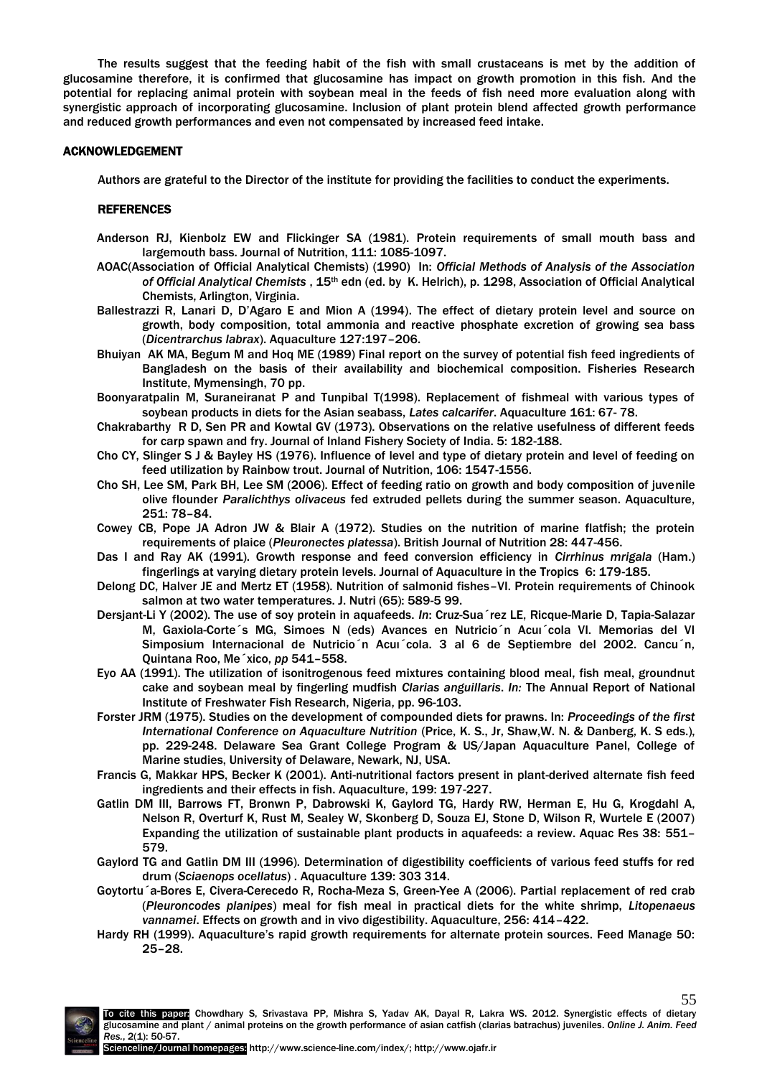The results suggest that the feeding habit of the fish with small crustaceans is met by the addition of glucosamine therefore, it is confirmed that glucosamine has impact on growth promotion in this fish*.* And the potential for replacing animal protein with soybean meal in the feeds of fish need more evaluation along with synergistic approach of incorporating glucosamine. Inclusion of plant protein blend affected growth performance and reduced growth performances and even not compensated by increased feed intake.

#### ACKNOWLEDGEMENT

Authors are grateful to the Director of the institute for providing the facilities to conduct the experiments.

# REFERENCES

- Anderson RJ, Kienbolz EW and Flickinger SA (1981). Protein requirements of small mouth bass and largemouth bass. Journal of Nutrition, 111: 1085-1097.
- AOAC(Association of Official Analytical Chemists) (1990) In: *Official Methods of Analysis of the Association of Official Analytical Chemists* , 15th edn (ed. by K. Helrich), p. 1298, Association of Official Analytical Chemists, Arlington, Virginia.
- Ballestrazzi R, Lanari D, D'Agaro E and Mion A (1994). The effect of dietary protein level and source on growth, body composition, total ammonia and reactive phosphate excretion of growing sea bass (*Dicentrarchus labrax*). Aquaculture 127:197–206.
- Bhuiyan AK MA, Begum M and Hoq ME (1989) Final report on the survey of potential fish feed ingredients of Bangladesh on the basis of their availability and biochemical composition. Fisheries Research Institute, Mymensingh, 70 pp.
- Boonyaratpalin M, Suraneiranat P and Tunpibal T(1998). Replacement of fishmeal with various types of soybean products in diets for the Asian seabass, *Lates calcarifer*. Aquaculture 161: 67- 78.
- Chakrabarthy R D, Sen PR and Kowtal GV (1973). Observations on the relative usefulness of different feeds for carp spawn and fry. Journal of Inland Fishery Society of India. 5: 182-188.
- Cho CY, Slinger S J & Bayley HS (1976). Influence of level and type of dietary protein and level of feeding on feed utilization by Rainbow trout. Journal of Nutrition, 106: 1547-1556.
- Cho SH, Lee SM, Park BH, Lee SM (2006). Effect of feeding ratio on growth and body composition of juvenile olive flounder *Paralichthys olivaceus* fed extruded pellets during the summer season. Aquaculture, 251: 78–84.
- Cowey CB, Pope JA Adron JW & Blair A (1972). Studies on the nutrition of marine flatfish; the protein requirements of plaice (*Pleuronectes platessa*). British Journal of Nutrition 28: 447-456.
- Das I and Ray AK (1991). Growth response and feed conversion efficiency in *Cirrhinus mrigala* (Ham.) fingerlings at varying dietary protein levels. Journal of Aquaculture in the Tropics 6: 179-185.
- Delong DC, Halver JE and Mertz ET (1958). Nutrition of salmonid fishes–VI. Protein requirements of Chinook salmon at two water temperatures. J. Nutri (65): 589-5 99.
- Dersjant-Li Y (2002). The use of soy protein in aquafeeds. *In*: Cruz-Sua´rez LE, Ricque-Marie D, Tapia-Salazar M, Gaxiola-Corte´s MG, Simoes N (eds) Avances en Nutricio´n Acuı´cola VI. Memorias del VI Simposium Internacional de Nutricio´n Acuı´cola. 3 al 6 de Septiembre del 2002. Cancu´n, Quintana Roo, Me´xico, *pp* 541–558.
- Eyo AA (1991). The utilization of isonitrogenous feed mixtures containing blood meal, fish meal, groundnut cake and soybean meal by fingerling mudfish *Clarias anguillaris*. *In:* The Annual Report of National Institute of Freshwater Fish Research, Nigeria, pp. 96-103.
- Forster JRM (1975). Studies on the development of compounded diets for prawns. In: *Proceedings of the first International Conference on Aquaculture Nutrition* (Price, K. S., Jr, Shaw,W. N. & Danberg, K. S eds.), pp. 229-248. Delaware Sea Grant College Program & US/Japan Aquaculture Panel, College of Marine studies, University of Delaware, Newark, NJ, USA.
- Francis G, Makkar HPS, Becker K (2001). Anti-nutritional factors present in plant-derived alternate fish feed ingredients and their effects in fish. Aquaculture, 199: 197-227.
- Gatlin DM III, Barrows FT, Bronwn P, Dabrowski K, Gaylord TG, Hardy RW, Herman E, Hu G, Krogdahl A, Nelson R, Overturf K, Rust M, Sealey W, Skonberg D, Souza EJ, Stone D, Wilson R, Wurtele E (2007) Expanding the utilization of sustainable plant products in aquafeeds: a review. Aquac Res 38: 551– 579.
- Gaylord TG and Gatlin DM III (1996). Determination of digestibility coefficients of various feed stuffs for red drum (*Sciaenops ocellatus*) . Aquaculture 139: 303 314.
- Goytortu´a-Bores E, Civera-Cerecedo R, Rocha-Meza S, Green-Yee A (2006). Partial replacement of red crab (*Pleuroncodes planipes*) meal for fish meal in practical diets for the white shrimp, *Litopenaeus vannamei*. Effects on growth and in vivo digestibility. Aquaculture, 256: 414–422.
- Hardy RH (1999). Aquaculture's rapid growth requirements for alternate protein sources. Feed Manage 50: 25–28.

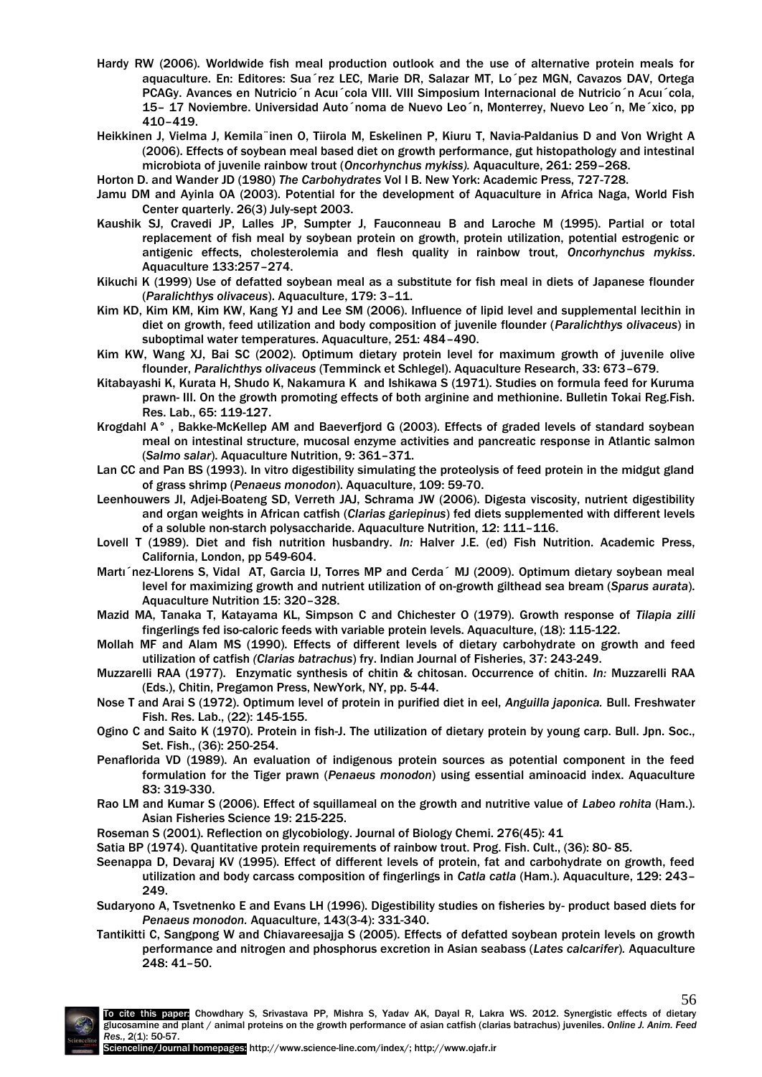- Hardy RW (2006). Worldwide fish meal production outlook and the use of alternative protein meals for aquaculture. En: Editores: Sua´rez LEC, Marie DR, Salazar MT, Lo´pez MGN, Cavazos DAV, Ortega PCAGy. Avances en Nutricio´n Acuı´cola VIII. VIII Simposium Internacional de Nutricio´n Acuı´cola, 15– 17 Noviembre. Universidad Auto´noma de Nuevo Leo´n, Monterrey, Nuevo Leo´n, Me´xico, pp 410–419.
- Heikkinen J, Vielma J, Kemila¨inen O, Tiirola M, Eskelinen P, Kiuru T, Navia-Paldanius D and Von Wright A (2006). Effects of soybean meal based diet on growth performance, gut histopathology and intestinal microbiota of juvenile rainbow trout (*Oncorhynchus mykiss).* Aquaculture, 261: 259–268.
- Horton D. and Wander JD (1980) *The Carbohydrates* Vol I B. New York: Academic Press, 727-728.
- Jamu DM and Ayinla OA (2003). Potential for the development of Aquaculture in Africa Naga, World Fish Center quarterly. 26(3) July-sept 2003.
- Kaushik SJ, Cravedi JP, Lalles JP, Sumpter J, Fauconneau B and Laroche M (1995). Partial or total replacement of fish meal by soybean protein on growth, protein utilization, potential estrogenic or antigenic effects, cholesterolemia and flesh quality in rainbow trout, *Oncorhynchus mykiss*. Aquaculture 133:257–274.
- Kikuchi K (1999) Use of defatted soybean meal as a substitute for fish meal in diets of Japanese flounder (*Paralichthys olivaceus*). Aquaculture, 179: 3–11.
- Kim KD, Kim KM, Kim KW, Kang YJ and Lee SM (2006). Influence of lipid level and supplemental lecithin in diet on growth, feed utilization and body composition of juvenile flounder (*Paralichthys olivaceus*) in suboptimal water temperatures. Aquaculture, 251: 484–490.
- Kim KW, Wang XJ, Bai SC (2002). Optimum dietary protein level for maximum growth of juvenile olive flounder, *Paralichthys olivaceus* (Temminck et Schlegel). Aquaculture Research, 33: 673–679.
- Kitabayashi K, Kurata H, Shudo K, Nakamura K and Ishikawa S (1971). Studies on formula feed for Kuruma prawn- III. On the growth promoting effects of both arginine and methionine. Bulletin Tokai Reg.Fish. Res. Lab., 65: 119-127.
- Krogdahl A° , Bakke-McKellep AM and Baeverfjord G (2003). Effects of graded levels of standard soybean meal on intestinal structure, mucosal enzyme activities and pancreatic response in Atlantic salmon (*Salmo salar*). Aquaculture Nutrition, 9: 361–371.
- Lan CC and Pan BS (1993). In vitro digestibility simulating the proteolysis of feed protein in the midgut gland of grass shrimp (*Penaeus monodon*). Aquaculture, 109: 59-70.
- Leenhouwers JI, Adjei-Boateng SD, Verreth JAJ, Schrama JW (2006). Digesta viscosity, nutrient digestibility and organ weights in African catfish (*Clarias gariepinus*) fed diets supplemented with different levels of a soluble non-starch polysaccharide. Aquaculture Nutrition, 12: 111–116.
- Lovell T (1989). Diet and fish nutrition husbandry. *In:* Halver J.E. (ed) Fish Nutrition. Academic Press, California, London, pp 549-604.
- Martı´nez-Llorens S, Vidal AT, Garcia IJ, Torres MP and Cerda´ MJ (2009). Optimum dietary soybean meal level for maximizing growth and nutrient utilization of on-growth gilthead sea bream (*Sparus aurata*). Aquaculture Nutrition 15: 320–328.
- Mazid MA, Tanaka T, Katayama KL, Simpson C and Chichester O (1979). Growth response of *Tilapia zilli* fingerlings fed iso-caloric feeds with variable protein levels. Aquaculture, (18): 115-122.
- Mollah MF and Alam MS (1990). Effects of different levels of dietary carbohydrate on growth and feed utilization of catfish *(Clarias batrachus*) fry. Indian Journal of Fisheries, 37: 243-249.
- Muzzarelli RAA (1977). Enzymatic synthesis of chitin & chitosan. Occurrence of chitin. *In:* Muzzarelli RAA (Eds.), Chitin, Pregamon Press, NewYork, NY, pp. 5-44.
- Nose T and Arai S (1972). Optimum level of protein in purified diet in eel, *Anguilla japonica.* Bull. Freshwater Fish. Res. Lab., (22): 145-155.
- Ogino C and Saito K (1970). Protein in fish-J. The utilization of dietary protein by young carp. Bull. Jpn. Soc., Set. Fish., (36): 250-254.
- Penaflorida VD (1989). An evaluation of indigenous protein sources as potential component in the feed formulation for the Tiger prawn (*Penaeus monodon*) using essential aminoacid index. Aquaculture 83: 319-330.
- Rao LM and Kumar S (2006). Effect of squillameal on the growth and nutritive value of *Labeo rohita* (Ham.). Asian Fisheries Science 19: 215-225.
- Roseman S (2001). Reflection on glycobiology. Journal of Biology Chemi. 276(45): 41

Satia BP (1974). Quantitative protein requirements of rainbow trout. Prog. Fish. Cult., (36): 80- 85.

- Seenappa D, Devaraj KV (1995). Effect of different levels of protein, fat and carbohydrate on growth, feed utilization and body carcass composition of fingerlings in *Catla catla* (Ham.). Aquaculture, 129: 243– 249.
- Sudaryono A, Tsvetnenko E and Evans LH (1996). Digestibility studies on fisheries by- product based diets for *Penaeus monodon.* Aquaculture, 143(3-4): 331-340.
- Tantikitti C, Sangpong W and Chiavareesajja S (2005). Effects of defatted soybean protein levels on growth performance and nitrogen and phosphorus excretion in Asian seabass (*Lates calcarifer*)*.* Aquaculture 248: 41–50.



56